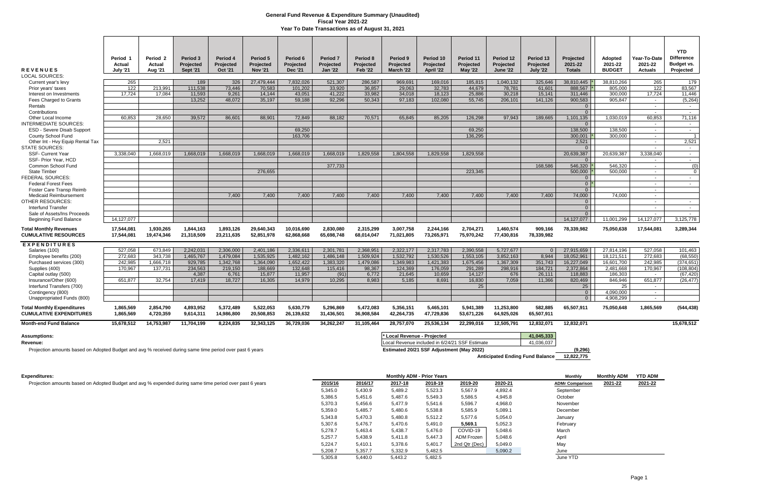| <b>REVENUES</b><br>LOCAL SOURCES:                                   | Period <sub>1</sub><br>Actual<br><b>July '21</b> | Period <sub>2</sub><br><b>Actual</b><br><b>Aug '21</b> | Period 3<br><b>Projected</b><br><b>Sept '21</b> | Period 4<br>Projected<br><b>Oct '21</b> | Period 5<br>Projected<br><b>Nov '21</b> | Period 6<br>Projected<br><b>Dec '21</b> | <b>Period 7</b><br>Projected<br><b>Jan '22</b> | Period 8<br>Projected<br><b>Feb '22</b> | Period 9<br><b>Projected</b><br>March '22 | Period 10<br>Projected<br>April '22 | Period 11<br>Projected<br><b>May '22</b> | Period 12<br>Projected<br><b>June '22</b> | Period 13<br>Projected<br><b>July '22</b> | Projected<br>2021-22<br><b>Totals</b> | Adopted<br>2021-22<br><b>BUDGET</b> | Year-To-Date<br>2021-22<br><b>Actuals</b> | <b>YTD</b><br><b>Difference</b><br>Budget vs.<br>Projected |
|---------------------------------------------------------------------|--------------------------------------------------|--------------------------------------------------------|-------------------------------------------------|-----------------------------------------|-----------------------------------------|-----------------------------------------|------------------------------------------------|-----------------------------------------|-------------------------------------------|-------------------------------------|------------------------------------------|-------------------------------------------|-------------------------------------------|---------------------------------------|-------------------------------------|-------------------------------------------|------------------------------------------------------------|
| Current year's levy                                                 | 265                                              |                                                        | 189                                             | 326                                     | 27,479,444                              | 7,832,026                               | 521,307                                        | 286,587                                 | 969,691                                   | 169,016                             | 185,815                                  | 1,040,132                                 | 325,646                                   | 38,810,445 *                          | 38,810,266                          | 265                                       | 179                                                        |
| Prior years' taxes                                                  | 122                                              | 213,991                                                | 111,538                                         | 73,446                                  | 70,583                                  | 101,202                                 | 33,920                                         | 36,857                                  | 29,063                                    | 32,783                              | 44,679                                   | 78,781                                    | 61,601                                    | 888,567                               | 805,000                             | 122                                       | 83,567                                                     |
| Interest on Investments                                             | 17,724                                           | 17,084                                                 | 11,593                                          | 9,261                                   | 14,144                                  | 43,051                                  | 41,222                                         | 33,982                                  | 34,018                                    | 18,123                              | 25,886                                   | 30,218                                    | 15,141                                    | 311,446                               | 300,000                             | 17,724                                    | 11,446                                                     |
| Fees Charged to Grants                                              |                                                  |                                                        | 13,252                                          | 48,072                                  | 35,197                                  | 59,188                                  | 92,296                                         | 50,343                                  | 97,183                                    | 102,080                             | 55,745                                   | 206,101                                   | 141,126                                   | 900,583                               | 905,847                             | $\sim$                                    | (5,264)                                                    |
| Rentals                                                             |                                                  |                                                        |                                                 |                                         |                                         |                                         |                                                |                                         |                                           |                                     |                                          |                                           |                                           | $\overline{0}$                        |                                     | $\sim$                                    | $\sim$                                                     |
| Contributions                                                       |                                                  |                                                        |                                                 |                                         |                                         |                                         |                                                |                                         |                                           |                                     |                                          |                                           |                                           | $\Omega$                              |                                     | $\blacksquare$                            | $\sim$                                                     |
| Other Local Income                                                  | 60.853                                           | 28.650                                                 | 39.572                                          | 86.601                                  | 88.901                                  | 72.849                                  | 88,182                                         | 70.571                                  | 65.845                                    | 85.205                              | 126.298                                  | 97.943                                    | 189.665                                   | 1.101.135                             | 1.030.019                           | 60.853                                    | 71.116                                                     |
| <b>INTERMEDIATE SOURCES:</b>                                        |                                                  |                                                        |                                                 |                                         |                                         |                                         |                                                |                                         |                                           |                                     |                                          |                                           |                                           | $\Omega$                              |                                     | $\sim$                                    | $\sim$                                                     |
| ESD - Severe Disab Support                                          |                                                  |                                                        |                                                 |                                         |                                         | 69,250                                  |                                                |                                         |                                           |                                     | 69,250                                   |                                           |                                           | 138.500                               | 138.500                             | $\sim$                                    | $\sim$                                                     |
| County School Fund                                                  |                                                  |                                                        |                                                 |                                         |                                         | 163.706                                 |                                                |                                         |                                           |                                     | 136.295                                  |                                           |                                           | 300.001                               | 300.000                             | $\sim$                                    | $\overline{1}$                                             |
| Other Int - Hvy Equip Rental Tax                                    |                                                  | 2.521                                                  |                                                 |                                         |                                         |                                         |                                                |                                         |                                           |                                     |                                          |                                           |                                           | 2,521                                 |                                     | $\sim$                                    | 2,521                                                      |
| <b>STATE SOURCES:</b>                                               |                                                  |                                                        |                                                 |                                         |                                         | 1.668.019                               | 1.668.019                                      |                                         |                                           |                                     |                                          |                                           |                                           | $\Omega$                              | 20.639.387                          | $\sim$<br>3.338.040                       | $\sim$ $-$                                                 |
| <b>SSF- Current Year</b><br>SSF- Prior Year, HCD                    | 3.338.040                                        | 1.668.019                                              | 1.668.019                                       | 1.668.019                               | 1.668.019                               |                                         |                                                | 1.829.558                               | 1.804.558                                 | 1.829.558                           | 1.829.558                                |                                           |                                           | 20.639.387<br>$\Omega$                |                                     | $\sim$                                    | $\sim$ $-$<br>$\sim$                                       |
| Common School Fund                                                  |                                                  |                                                        |                                                 |                                         |                                         |                                         | 377,733                                        |                                         |                                           |                                     |                                          |                                           | 168.586                                   | 546,320                               | 546,320                             | $\sim$                                    | (0)                                                        |
| <b>State Timber</b>                                                 |                                                  |                                                        |                                                 |                                         | 276,655                                 |                                         |                                                |                                         |                                           |                                     | 223.345                                  |                                           |                                           | 500,000                               | 500.000                             | $\sim$                                    | $\Omega$                                                   |
| <b>FEDERAL SOURCES:</b>                                             |                                                  |                                                        |                                                 |                                         |                                         |                                         |                                                |                                         |                                           |                                     |                                          |                                           |                                           | $\overline{0}$                        |                                     | $\sim$                                    | $\sim$ $-$                                                 |
| <b>Federal Forest Fees</b>                                          |                                                  |                                                        |                                                 |                                         |                                         |                                         |                                                |                                         |                                           |                                     |                                          |                                           |                                           | $0^*$                                 |                                     | $\sim$                                    | $\sim$ $-$                                                 |
| Foster Care Transp Reimb                                            |                                                  |                                                        |                                                 |                                         |                                         |                                         |                                                |                                         |                                           |                                     |                                          |                                           |                                           | $\Omega$                              |                                     | $\sim$                                    |                                                            |
| <b>Medicaid Reimbursement</b>                                       |                                                  |                                                        |                                                 | 7,400                                   | 7,400                                   | 7.400                                   | 7,400                                          | 7,400                                   | 7,400                                     | 7,400                               | 7.400                                    | 7.400                                     | 7.400                                     | 74,000                                | 74.000                              | $\sim$                                    |                                                            |
| <b>OTHER RESOURCES:</b>                                             |                                                  |                                                        |                                                 |                                         |                                         |                                         |                                                |                                         |                                           |                                     |                                          |                                           |                                           | $\overline{0}$                        |                                     | $\sim$                                    | $\sim$                                                     |
| <b>Interfund Transfer</b>                                           |                                                  |                                                        |                                                 |                                         |                                         |                                         |                                                |                                         |                                           |                                     |                                          |                                           |                                           | $\overline{0}$                        |                                     | $\sim$                                    | $\sim$ $-$                                                 |
| Sale of Assets/Ins Proceeds                                         |                                                  |                                                        |                                                 |                                         |                                         |                                         |                                                |                                         |                                           |                                     |                                          |                                           |                                           | $\overline{0}$                        |                                     | $\sim$                                    | $\sim$ $-$                                                 |
| <b>Beginning Fund Balance</b>                                       | 14,127,077                                       |                                                        |                                                 |                                         |                                         |                                         |                                                |                                         |                                           |                                     |                                          |                                           |                                           | 14.127.077                            | 11,001,299                          | 14,127,077                                | 3,125,778                                                  |
| <b>Total Monthiv Revenues</b><br><b>CUMULATIVE RESOURCES</b>        | 17.544.081<br>17,544,081                         | 1.930.265<br>19,474,346                                | 1,844,163<br>21,318,509                         | 1,893,126<br>23,211,635                 | 29.640.343<br>52,851,978                | 10.016.690<br>62,868,668                | 2.830.080<br>65,698,748                        | 2,315,299<br>68,014,047                 | 3.007.758<br>71,021,805                   | 2,244,166<br>73,265,971             | 2,704,271<br>75,970,242                  | 1.460.574<br>77,430,816                   | 909,166<br>78,339,982                     | 78,339,982                            | 75,050,638                          | 17,544,081                                | 3,289,344                                                  |
| <b>EXPENDITURES</b>                                                 |                                                  |                                                        |                                                 |                                         |                                         |                                         |                                                |                                         |                                           |                                     |                                          |                                           |                                           |                                       |                                     |                                           |                                                            |
| Salaries (100)                                                      | 527.058                                          | 673.849                                                | 2.242.031                                       | 2,306,000                               | 2,401,186                               | 2.336.611                               | 2,301,781                                      | 2,368,951                               | 2,322,177                                 | 2,317,783                           | 2,390,558                                | 5.727.677                                 | $\Omega$                                  | 27,915,659                            | 27,814,196                          | 527,058                                   | 101,463                                                    |
| Employee benefits (200)                                             | 272.683                                          | 343.738                                                | 1.465.767                                       | 1.479.084                               | 1.535.925                               | 1.482.162                               | 1.486.148                                      | 1.509.924                               | 1.532.792                                 | 1.530.526                           | 1.553.105                                | 3.852.163                                 | 8.944                                     | 18.052.961                            | 18,121,511                          | 272.683                                   | (68, 550)                                                  |
| Purchased services (300)                                            | 242.985                                          | 1,666,718                                              | 929,785                                         | 1,342,768                               | 1,364,090                               | 1,652,422                               | 1,383,320                                      | 1,479,086                               | 1,349,983                                 | 1,421,383                           | 1,675,456                                | 1,367,309                                 | 351,743                                   | 16,227,049                            | 16,601,700                          | 242.985                                   | (374, 651)                                                 |
| Supplies (400)                                                      | 170.967                                          | 137.731                                                | 234.563                                         | 219.150                                 | 188.669                                 | 132.648                                 | 115.416                                        | 98,367                                  | 124.369                                   | 176.059                             | 291.289                                  | 298.916                                   | 184,721                                   | 2,372,864                             | 2,481,668                           | 170.967                                   | (108, 804)                                                 |
| Capital outlay (500)                                                |                                                  |                                                        | 4.387                                           | 6.761                                   | 15.877                                  | 11.957                                  | (91)                                           | 6,772                                   | 21,645                                    | 10.659                              | 14,127                                   | 676                                       | 26,111                                    | 118,883                               | 186.303                             | $\sim$ $ \sim$                            | (67, 420)                                                  |
| Insurance/Other (600)                                               | 651,877                                          | 32,754                                                 | 17.419                                          | 18,727                                  | 16.305                                  | 14.979                                  | 10,295                                         | 8.983                                   | 5.185                                     | 8,691                               | 16,830                                   | 7,059                                     | 11,366                                    | 820,469                               | 846,946                             | 651,877                                   | (26, 477)                                                  |
| Interfund Transfers (700)                                           |                                                  |                                                        |                                                 |                                         |                                         |                                         |                                                |                                         |                                           |                                     | 25                                       |                                           |                                           | 25                                    | 25                                  | $\sim$                                    |                                                            |
| Contingency (800)                                                   |                                                  |                                                        |                                                 |                                         |                                         |                                         |                                                |                                         |                                           |                                     |                                          |                                           |                                           | $\overline{0}$                        | 4,090,000                           | $\sim$                                    |                                                            |
| Unappropriated Funds (800)                                          |                                                  |                                                        |                                                 |                                         |                                         |                                         |                                                |                                         |                                           |                                     |                                          |                                           |                                           | $\overline{0}$                        | 4,908,299                           | $\sim$                                    |                                                            |
| <b>Total Monthly Expenditures</b><br><b>CUMULATIVE EXPENDITURES</b> | 1,865,569<br>1,865,569                           | 2,854,790<br>4,720,359                                 | 4,893,952<br>9,614,311                          | 5,372,489<br>14,986,800                 | 5,522,053<br>20,508,853                 | 5,630,779<br>26,139,632                 | 5,296,869<br>31,436,501                        | 5,472,083<br>36,908,584                 | 5,356,151<br>42,264,735                   | 5,465,101<br>47,729,836             | 5,941,389<br>53,671,226                  | 11,253,800<br>64,925,026                  | 582,885<br>65,507,911                     | 65,507,911                            | 75,050,648                          | 1,865,569                                 | (544, 438)                                                 |
| <b>Month-end Fund Balance</b>                                       | 15.678.512                                       | 14,753,987                                             | 11,704,199                                      | 8,224,835                               | 32.343.125                              | 36.729.036                              | 34.262.247                                     | 31.105.464                              | 28,757,070                                | 25.536.134                          | $\overline{22,}299,016$                  | 12.505.791                                | 12.832.071                                | 12.832.071                            |                                     |                                           | 15,678,512                                                 |
| <b>Assumptions:</b>                                                 |                                                  |                                                        |                                                 |                                         |                                         |                                         |                                                |                                         | * Local Revenue - Proiected               |                                     |                                          |                                           | 41.045.333                                |                                       |                                     |                                           |                                                            |

Projection amounts based on Adopted Budget and avg % received during same time period over past 6 years **Estimated 20/21 SSF Adjustment (May 2022) (9,296)** (9,296)

Revenue: **Revenue: Local Revenue included in 6/24/21 SSF Estimate** 41,036,037

# **Anticipated Ending Fund Balance 12,822,775**

| Expenditures:                                                                                           |         |         | <b>Monthly ADM - Prior Years</b> |         |               |         | <b>Monthly</b>         | <b>Monthly ADM</b> | YTD ADM |
|---------------------------------------------------------------------------------------------------------|---------|---------|----------------------------------|---------|---------------|---------|------------------------|--------------------|---------|
| Projection amounts based on Adopted Budget and avg % expended during same time period over past 6 years | 2015/16 | 2016/17 | 2017-18                          | 2018-19 | 2019-20       | 2020-21 | <b>ADMr Comparison</b> | 2021-22            | 2021-22 |
|                                                                                                         | 5,345.0 | 5,430.9 | 5,489.2                          | 5,523.3 | 5,567.9       | 4,892.4 | September              |                    |         |
|                                                                                                         | 5,386.5 | 5,451.6 | 5,487.6                          | 5,549.3 | 5,586.5       | 4,945.8 | October                |                    |         |
|                                                                                                         | 5,370.3 | 5,456.6 | 5,477.9                          | 5,541.6 | 5,596.7       | 4,968.0 | November               |                    |         |
|                                                                                                         | 5,359.0 | 5,485.7 | 5,480.6                          | 5,538.8 | 5,585.9       | 5,089.1 | December               |                    |         |
|                                                                                                         | 5,343.8 | 5,470.3 | 5,480.8                          | 5,512.2 | 5,577.6       | 5,054.0 | January                |                    |         |
|                                                                                                         | 5,307.6 | 5,476.7 | 5,470.6                          | 5,491.0 | 5,569.1       | 5,052.3 | February               |                    |         |
|                                                                                                         | 5,278.7 | 5,463.4 | 5,438.7                          | 5,476.0 | COVID-19      | 5,048.6 | March                  |                    |         |
|                                                                                                         | 5,257.7 | 5,438.9 | 5,411.8                          | 5,447.3 | ADM Frozen    | 5,048.6 | April                  |                    |         |
|                                                                                                         | 5,224.7 | 5,410.1 | 5,378.6                          | 5,401.7 | 2nd Qtr (Dec) | 5,049.0 | May                    |                    |         |
|                                                                                                         | 5,208.7 | 5,357.7 | 5,332.9                          | 5,482.5 |               | 5,090.2 | June                   |                    |         |
|                                                                                                         | 5,305.8 | 5,440.0 | 5,443.2                          | 5,482.5 |               |         | June YTD               |                    |         |

## **General Fund Revenue & Expenditure Summary (Unaudited) Fiscal Year 2021-22 Year To Date Transactions as of August 31, 2021**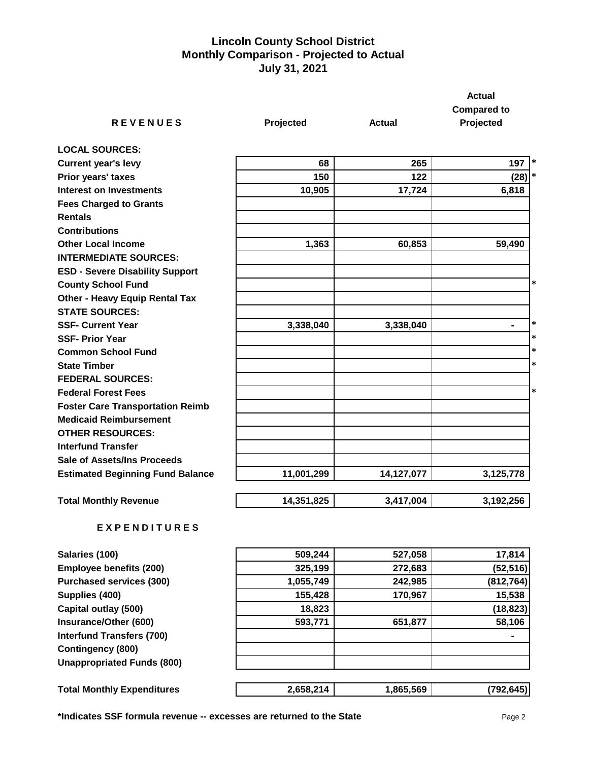# **Lincoln County School District Monthly Comparison - Projected to Actual July 31, 2021**

|                                         |            |               | <b>Actual</b>      |
|-----------------------------------------|------------|---------------|--------------------|
|                                         |            |               | <b>Compared to</b> |
| <b>REVENUES</b>                         | Projected  | <b>Actual</b> | Projected          |
| <b>LOCAL SOURCES:</b>                   |            |               |                    |
| <b>Current year's levy</b>              | 68         | 265           | 197<br>$\ast$      |
| Prior years' taxes                      | 150        | 122           | $\ast$<br>(28)     |
| <b>Interest on Investments</b>          | 10,905     | 17,724        | 6,818              |
| <b>Fees Charged to Grants</b>           |            |               |                    |
| <b>Rentals</b>                          |            |               |                    |
| <b>Contributions</b>                    |            |               |                    |
| <b>Other Local Income</b>               | 1,363      | 60,853        | 59,490             |
| <b>INTERMEDIATE SOURCES:</b>            |            |               |                    |
| <b>ESD - Severe Disability Support</b>  |            |               |                    |
| <b>County School Fund</b>               |            |               | $\ast$             |
| <b>Other - Heavy Equip Rental Tax</b>   |            |               |                    |
| <b>STATE SOURCES:</b>                   |            |               |                    |
| <b>SSF- Current Year</b>                | 3,338,040  | 3,338,040     | $\ast$<br>۰        |
| <b>SSF- Prior Year</b>                  |            |               | $\ast$             |
| <b>Common School Fund</b>               |            |               | *                  |
| <b>State Timber</b>                     |            |               | $\ast$             |
| <b>FEDERAL SOURCES:</b>                 |            |               |                    |
| <b>Federal Forest Fees</b>              |            |               | $\ast$             |
| <b>Foster Care Transportation Reimb</b> |            |               |                    |
| <b>Medicaid Reimbursement</b>           |            |               |                    |
| <b>OTHER RESOURCES:</b>                 |            |               |                    |
| <b>Interfund Transfer</b>               |            |               |                    |
| <b>Sale of Assets/Ins Proceeds</b>      |            |               |                    |
| <b>Estimated Beginning Fund Balance</b> | 11,001,299 | 14,127,077    | 3,125,778          |
| <b>Total Monthly Revenue</b>            | 14,351,825 | 3,417,004     | 3,192,256          |

# **E X P E N D I T U R E S**

| Salaries (100)                    | 509,244   | 527,058   | 17,814     |
|-----------------------------------|-----------|-----------|------------|
| <b>Employee benefits (200)</b>    | 325,199   | 272,683   | (52, 516)  |
| <b>Purchased services (300)</b>   | 1,055,749 | 242,985   | (812, 764) |
| Supplies (400)                    | 155,428   | 170,967   | 15,538     |
| Capital outlay (500)              | 18,823    |           | (18, 823)  |
| Insurance/Other (600)             | 593,771   | 651,877   | 58,106     |
| <b>Interfund Transfers (700)</b>  |           |           |            |
| <b>Contingency (800)</b>          |           |           |            |
| <b>Unappropriated Funds (800)</b> |           |           |            |
| <b>Total Monthly Expenditures</b> | 2,658,214 | 1,865,569 | (792, 645) |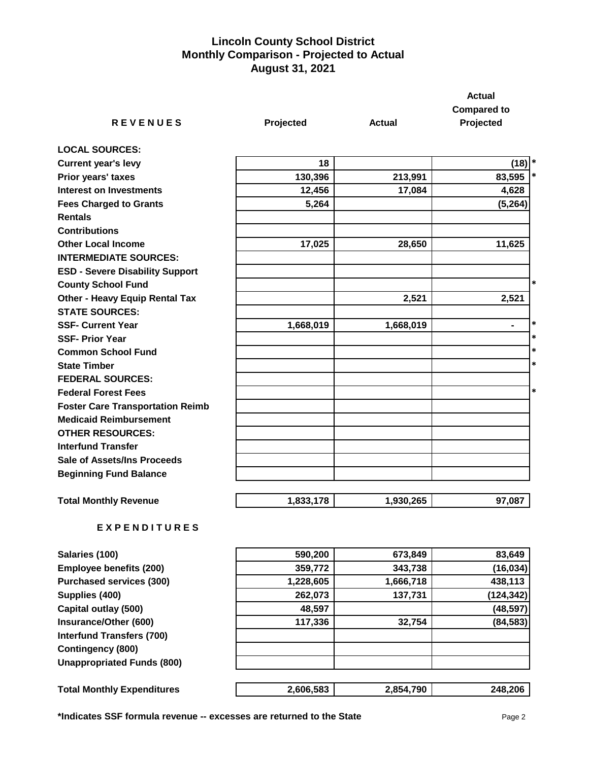# **Lincoln County School District Monthly Comparison - Projected to Actual August 31, 2021**

|                                         |              |               | <b>Actual</b>                   |
|-----------------------------------------|--------------|---------------|---------------------------------|
| <b>REVENUES</b>                         | Projected    | <b>Actual</b> | <b>Compared to</b><br>Projected |
|                                         |              |               |                                 |
| <b>LOCAL SOURCES:</b>                   |              |               |                                 |
| <b>Current year's levy</b>              | 18           |               | $(18)$ <sup>*</sup>             |
| Prior years' taxes                      | 130,396      | 213,991       | $\ast$<br>83,595                |
| <b>Interest on Investments</b>          | 12,456       | 17,084        | 4,628                           |
| <b>Fees Charged to Grants</b>           | 5,264        |               | (5, 264)                        |
| <b>Rentals</b>                          |              |               |                                 |
| <b>Contributions</b>                    |              |               |                                 |
| <b>Other Local Income</b>               | 17,025       | 28,650        | 11,625                          |
| <b>INTERMEDIATE SOURCES:</b>            |              |               |                                 |
| <b>ESD - Severe Disability Support</b>  |              |               |                                 |
| <b>County School Fund</b>               |              |               | $\ast$                          |
| <b>Other - Heavy Equip Rental Tax</b>   |              | 2,521         | 2,521                           |
| <b>STATE SOURCES:</b>                   |              |               |                                 |
| <b>SSF- Current Year</b>                | 1,668,019    | 1,668,019     | $\ast$<br>$\blacksquare$        |
| <b>SSF- Prior Year</b>                  |              |               | $\ast$                          |
| <b>Common School Fund</b>               |              |               | $\ast$                          |
| <b>State Timber</b>                     |              |               | $\ast$                          |
| <b>FEDERAL SOURCES:</b>                 |              |               |                                 |
| <b>Federal Forest Fees</b>              |              |               | $\ast$                          |
| <b>Foster Care Transportation Reimb</b> |              |               |                                 |
| <b>Medicaid Reimbursement</b>           |              |               |                                 |
| <b>OTHER RESOURCES:</b>                 |              |               |                                 |
| <b>Interfund Transfer</b>               |              |               |                                 |
| <b>Sale of Assets/Ins Proceeds</b>      |              |               |                                 |
| <b>Beginning Fund Balance</b>           |              |               |                                 |
| <b>Total Monthly Revenue</b>            | 1,833,178    | 1,930,265     | 97,087                          |
| <b>EXPENDITURES</b>                     |              |               |                                 |
| Salaries (100)                          | 590,200      | 673,849       | 83,649                          |
|                                         | $0.50 - 7.0$ | $0.10 - 0.0$  | (40.001)                        |

| <b>Salafies (TUU)</b>             | <b>JYU,ZUU</b> | 015.049   | 09.049     |
|-----------------------------------|----------------|-----------|------------|
| Employee benefits (200)           | 359,772        | 343,738   | (16, 034)  |
| <b>Purchased services (300)</b>   | 1,228,605      | 1,666,718 | 438,113    |
| Supplies (400)                    | 262,073        | 137,731   | (124, 342) |
| Capital outlay (500)              | 48,597         |           | (48, 597)  |
| Insurance/Other (600)             | 117,336        | 32,754    | (84, 583)  |
| <b>Interfund Transfers (700)</b>  |                |           |            |
| Contingency (800)                 |                |           |            |
| <b>Unappropriated Funds (800)</b> |                |           |            |
| <b>Total Monthly Expenditures</b> | 2,606,583      | 2,854,790 | 248,206    |

**\*Indicates SSF formula revenue -- excesses are returned to the State** Page 2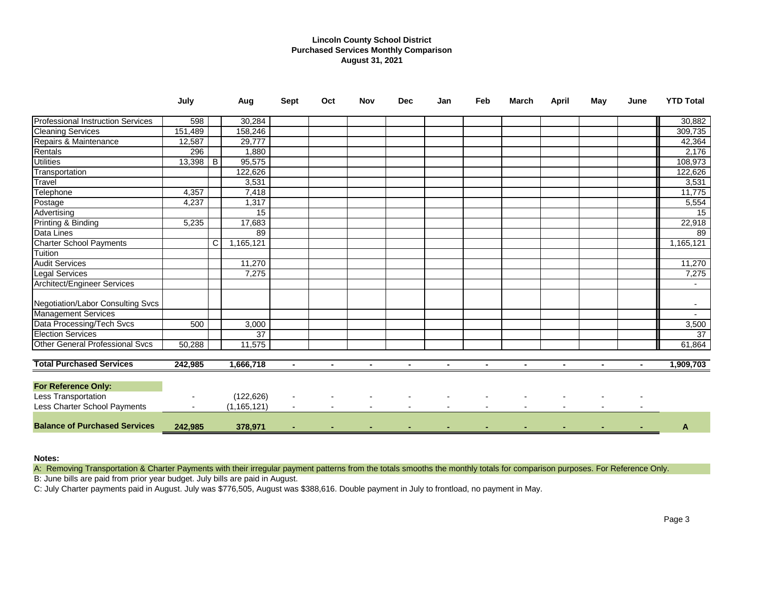## **Lincoln County School District Purchased Services Monthly Comparison August 31, 2021**

|                                          | July    |   | Aug           | <b>Sept</b>    | Oct | <b>Nov</b> | <b>Dec</b> | Jan | Feb | <b>March</b> | <b>April</b> | May | June | <b>YTD Total</b> |
|------------------------------------------|---------|---|---------------|----------------|-----|------------|------------|-----|-----|--------------|--------------|-----|------|------------------|
| <b>Professional Instruction Services</b> | 598     |   | 30,284        |                |     |            |            |     |     |              |              |     |      | 30,882           |
| <b>Cleaning Services</b>                 | 151,489 |   | 158,246       |                |     |            |            |     |     |              |              |     |      | 309,735          |
| Repairs & Maintenance                    | 12,587  |   | 29,777        |                |     |            |            |     |     |              |              |     |      | 42,364           |
| Rentals                                  | 296     |   | 1,880         |                |     |            |            |     |     |              |              |     |      | 2,176            |
| <b>Utilities</b>                         | 13,398  | B | 95,575        |                |     |            |            |     |     |              |              |     |      | 108,973          |
| Transportation                           |         |   | 122,626       |                |     |            |            |     |     |              |              |     |      | 122,626          |
| <b>Travel</b>                            |         |   | 3,531         |                |     |            |            |     |     |              |              |     |      | 3,531            |
| Telephone                                | 4,357   |   | 7,418         |                |     |            |            |     |     |              |              |     |      | 11,775           |
| Postage                                  | 4,237   |   | 1,317         |                |     |            |            |     |     |              |              |     |      | 5,554            |
| Advertising                              |         |   | 15            |                |     |            |            |     |     |              |              |     |      | 15               |
| Printing & Binding                       | 5,235   |   | 17,683        |                |     |            |            |     |     |              |              |     |      | 22,918           |
| Data Lines                               |         |   | 89            |                |     |            |            |     |     |              |              |     |      | 89               |
| <b>Charter School Payments</b>           |         | C | 1,165,121     |                |     |            |            |     |     |              |              |     |      | 1,165,121        |
| Tuition                                  |         |   |               |                |     |            |            |     |     |              |              |     |      |                  |
| <b>Audit Services</b>                    |         |   | 11,270        |                |     |            |            |     |     |              |              |     |      | 11,270           |
| <b>Legal Services</b>                    |         |   | 7,275         |                |     |            |            |     |     |              |              |     |      | 7,275            |
| <b>Architect/Engineer Services</b>       |         |   |               |                |     |            |            |     |     |              |              |     |      |                  |
| Negotiation/Labor Consulting Svcs        |         |   |               |                |     |            |            |     |     |              |              |     |      |                  |
| <b>Management Services</b>               |         |   |               |                |     |            |            |     |     |              |              |     |      |                  |
| Data Processing/Tech Svcs                | 500     |   | 3,000         |                |     |            |            |     |     |              |              |     |      | 3,500            |
| <b>Election Services</b>                 |         |   | 37            |                |     |            |            |     |     |              |              |     |      | $\overline{37}$  |
| <b>Other General Professional Svcs</b>   | 50,288  |   | 11,575        |                |     |            |            |     |     |              |              |     |      | 61,864           |
| <b>Total Purchased Services</b>          | 242,985 |   | 1,666,718     | $\blacksquare$ |     |            |            |     |     |              |              |     |      | 1,909,703        |
| For Reference Only:                      |         |   |               |                |     |            |            |     |     |              |              |     |      |                  |
| <b>Less Transportation</b>               |         |   | (122, 626)    |                |     |            |            |     |     |              |              |     |      |                  |
| Less Charter School Payments             |         |   | (1, 165, 121) |                |     |            |            |     |     |              |              |     |      |                  |
| <b>Balance of Purchased Services</b>     | 242,985 |   | 378,971       |                |     |            |            |     |     |              |              |     |      | A                |

### **Notes:**

A: Removing Transportation & Charter Payments with their irregular payment patterns from the totals smooths the monthly totals for comparison purposes. For Reference Only.

B: June bills are paid from prior year budget. July bills are paid in August.

C: July Charter payments paid in August. July was \$776,505, August was \$388,616. Double payment in July to frontload, no payment in May.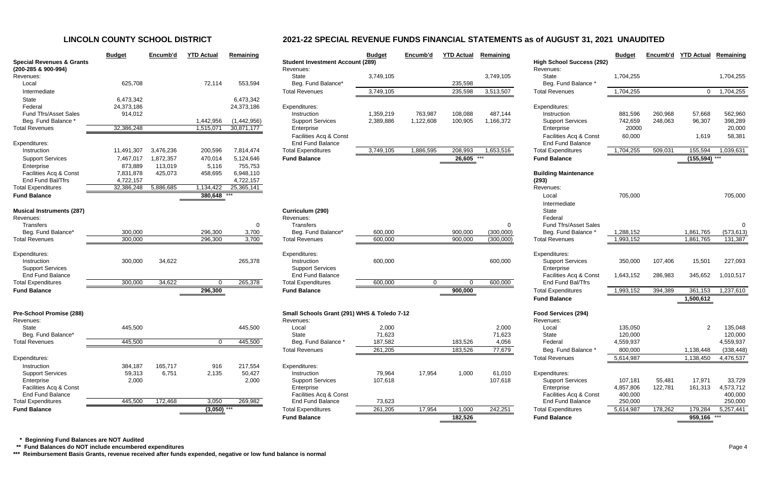|                                               | <b>Budget</b> | Encumb'd  | <b>YTD Actual</b> | Remaining   |                           |
|-----------------------------------------------|---------------|-----------|-------------------|-------------|---------------------------|
| <b>Special Revenues &amp; Grants</b>          |               |           |                   |             | <b>Student Inve</b>       |
| (200-285 & 900-994)                           |               |           |                   |             | Revenues:                 |
| Revenues:                                     |               |           |                   |             | <b>State</b>              |
| Local                                         | 625,708       |           | 72,114            | 553,594     | Beg. Func                 |
| Intermediate                                  |               |           |                   |             | <b>Total Revenu</b>       |
| <b>State</b>                                  | 6,473,342     |           |                   | 6,473,342   |                           |
| Federal                                       | 24,373,186    |           |                   | 24,373,186  | Expenditures:             |
| <b>Fund Tfrs/Asset Sales</b>                  | 914,012       |           |                   |             | Instruction               |
| Beg. Fund Balance *                           |               |           | 1,442,956         | (1,442,956) | Support S                 |
| <b>Total Revenues</b>                         | 32,386,248    |           | 1,515,071         | 30,871,177  | Enterprise                |
|                                               |               |           |                   |             | Facilities /              |
| Expenditures:                                 |               |           |                   |             | End Fund                  |
| Instruction                                   | 11,491,307    | 3,476,236 | 200,596           | 7,814,474   | <b>Total Expendi</b>      |
| <b>Support Services</b>                       | 7,467,017     | 1,872,357 | 470,014           | 5,124,646   | <b>Fund Balanc</b>        |
| Enterprise                                    | 873,889       | 113,019   | 5,116             | 755,753     |                           |
| Facilities Acq & Const                        | 7,831,878     | 425,073   | 458,695           | 6,948,110   |                           |
| End Fund Bal/Tfrs                             | 4,722,157     |           |                   | 4,722,157   |                           |
| <b>Total Expenditures</b>                     | 32,386,248    | 5,886,685 | 1,134,422         | 25,365,141  |                           |
| <b>Fund Balance</b>                           |               |           | 380,648           |             |                           |
|                                               |               |           |                   |             |                           |
| <b>Musical Instruments (287)</b><br>Revenues: |               |           |                   |             | Curriculum (<br>Revenues: |
| <b>Transfers</b>                              |               |           |                   | 0           | <b>Transfers</b>          |
| Beg. Fund Balance*                            | 300,000       |           | 296,300           | 3,700       | Beg. Func                 |
| <b>Total Revenues</b>                         | 300,000       |           | 296,300           | 3,700       | <b>Total Revenue</b>      |
|                                               |               |           |                   |             |                           |
| Expenditures:                                 |               |           |                   |             | Expenditures:             |
| Instruction                                   | 300,000       | 34,622    |                   | 265,378     | Instruction               |
| <b>Support Services</b>                       |               |           |                   |             | Support S                 |
| <b>End Fund Balance</b>                       |               |           |                   |             | End Fund                  |
| <b>Total Expenditures</b>                     | 300,000       | 34,622    | 0                 | 265,378     | <b>Total Expendi</b>      |
| <b>Fund Balance</b>                           |               |           | 296,300           |             | <b>Fund Balanc</b>        |
|                                               |               |           |                   |             |                           |
| Pre-School Promise (288)                      |               |           |                   |             | <b>Small Schoo</b>        |
| Revenues:                                     |               |           |                   |             | Revenues:                 |
| <b>State</b>                                  | 445,500       |           |                   | 445,500     | Local                     |
| Beg. Fund Balance*                            |               |           |                   |             | <b>State</b>              |
| <b>Total Revenues</b>                         | 445,500       |           | 0                 | 445,500     | Beg. Func                 |
|                                               |               |           |                   |             | <b>Total Revenu</b>       |
| Expenditures:                                 |               |           |                   |             |                           |
| Instruction                                   | 384,187       | 165,717   | 916               | 217,554     | Expenditures:             |
| <b>Support Services</b>                       | 59,313        | 6,751     | 2,135             | 50,427      | Instruction               |
| Enterprise                                    | 2,000         |           |                   | 2,000       | Support S                 |
| Facilities Acq & Const                        |               |           |                   |             | Enterprise                |
| <b>End Fund Balance</b>                       |               |           |                   |             | Facilities /              |
| <b>Total Expenditures</b>                     | 445,500       | 172,468   | 3,050             | 269,982     | End Fund                  |

|                                                             | <b>Budget</b> | Encumb'd  | <b>YTD Actual</b> | Remaining   |                                             | <b>Budget</b> | Encumb'd       | <b>YTD Actual</b> | Remaining |                                  | <b>Budget</b> | Encumb'd | <b>YTD Actual</b> | Remaining  |
|-------------------------------------------------------------|---------------|-----------|-------------------|-------------|---------------------------------------------|---------------|----------------|-------------------|-----------|----------------------------------|---------------|----------|-------------------|------------|
| <b>Special Revenues &amp; Grants</b><br>(200-285 & 900-994) |               |           |                   |             | <b>Student Investment Account (289)</b>     |               |                |                   |           | <b>High School Success (292)</b> |               |          |                   |            |
| Revenues:                                                   |               |           |                   |             | Revenues:<br><b>State</b>                   | 3,749,105     |                |                   | 3,749,105 | Revenues:<br>State               | 1,704,255     |          |                   | 1,704,255  |
| Local                                                       | 625,708       |           | 72,114            | 553,594     | Beg. Fund Balance*                          |               |                | 235,598           |           | Beg. Fund Balance *              |               |          |                   |            |
| Intermediate                                                |               |           |                   |             | <b>Total Revenues</b>                       | 3,749,105     |                | 235,598           | 3,513,507 | <b>Total Revenues</b>            | 1,704,255     |          | $\overline{0}$    | 1,704,255  |
| State                                                       | 6,473,342     |           |                   | 6,473,342   |                                             |               |                |                   |           |                                  |               |          |                   |            |
| Federal                                                     | 24,373,186    |           |                   | 24,373,186  | Expenditures:                               |               |                |                   |           | Expenditures:                    |               |          |                   |            |
| <b>Fund Tfrs/Asset Sales</b>                                | 914,012       |           |                   |             | Instruction                                 | 1,359,219     | 763,987        | 108,088           | 487,144   | Instruction                      | 881,596       | 260,968  | 57,668            | 562,960    |
| Beg. Fund Balance                                           |               |           | 1,442,956         | (1,442,956) | <b>Support Services</b>                     | 2,389,886     | 1,122,608      | 100,905           | 1,166,372 | <b>Support Services</b>          | 742,659       | 248,063  | 96,307            | 398,289    |
| Total Revenues                                              | 32,386,248    |           | 1,515,071         | 30,871,177  | Enterprise                                  |               |                |                   |           | Enterprise                       | 20000         |          |                   | 20,000     |
|                                                             |               |           |                   |             | Facilities Acq & Const                      |               |                |                   |           | Facilities Acq & Const           | 60,000        |          | 1,619             | 58,381     |
| Expenditures:                                               |               |           |                   |             | <b>End Fund Balance</b>                     |               |                |                   |           | End Fund Balance                 |               |          |                   |            |
| Instruction                                                 | 11,491,307    | 3,476,236 | 200,596           | 7,814,474   | <b>Total Expenditures</b>                   | 3,749,105     | 1,886,595      | 208,993           | 1,653,516 | <b>Total Expenditures</b>        | 1,704,255     | 509,031  | 155,594           | 1,039,631  |
| <b>Support Services</b>                                     | 7,467,017     | 1,872,357 | 470,014           | 5,124,646   | <b>Fund Balance</b>                         |               |                | 26,605            |           | <b>Fund Balance</b>              |               |          | $(155, 594)$ ***  |            |
| Enterprise                                                  | 873,889       | 113,019   | 5,116             | 755,753     |                                             |               |                |                   |           |                                  |               |          |                   |            |
| Facilities Acq & Const                                      | 7,831,878     | 425,073   | 458,695           | 6,948,110   |                                             |               |                |                   |           | <b>Building Maintenance</b>      |               |          |                   |            |
| End Fund Bal/Tfrs                                           | 4,722,157     |           |                   | 4,722,157   |                                             |               |                |                   |           | (293)                            |               |          |                   |            |
| <b>Total Expenditures</b>                                   | 32,386,248    | 5,886,685 | 1,134,422         | 25,365,141  |                                             |               |                |                   |           | Revenues:                        |               |          |                   |            |
| <b>Fund Balance</b>                                         |               |           | 380,648 ***       |             |                                             |               |                |                   |           | Local                            | 705,000       |          |                   | 705,000    |
|                                                             |               |           |                   |             |                                             |               |                |                   |           | Intermediate                     |               |          |                   |            |
| <b>Musical Instruments (287)</b>                            |               |           |                   |             | Curriculum (290)                            |               |                |                   |           | State                            |               |          |                   |            |
| Revenues:                                                   |               |           |                   |             | Revenues:                                   |               |                |                   |           | Federal                          |               |          |                   |            |
| Transfers                                                   |               |           |                   | $\Omega$    | Transfers                                   |               |                |                   | $\Omega$  | <b>Fund Tfrs/Asset Sales</b>     |               |          |                   | $\Omega$   |
| Beg. Fund Balance*                                          | 300,000       |           | 296,300           | 3,700       | Beg. Fund Balance*                          | 600,000       |                | 900,000           | (300,000) | Beg. Fund Balance                | 1,288,152     |          | 1,861,765         | (573, 613) |
| <b>Total Revenues</b>                                       | 300,000       |           | 296,300           | 3,700       | <b>Total Revenues</b>                       | 600,000       |                | 900,000           | (300,000) | <b>Total Revenues</b>            | 1,993,152     |          | 1,861,765         | 131,387    |
| Expenditures:                                               |               |           |                   |             | Expenditures:                               |               |                |                   |           | Expenditures:                    |               |          |                   |            |
| Instruction                                                 | 300,000       | 34,622    |                   | 265,378     | Instruction                                 | 600,000       |                |                   | 600,000   | <b>Support Services</b>          | 350,000       | 107,406  | 15,501            | 227,093    |
| <b>Support Services</b>                                     |               |           |                   |             | <b>Support Services</b>                     |               |                |                   |           | Enterprise                       |               |          |                   |            |
| <b>End Fund Balance</b>                                     |               |           |                   |             | <b>End Fund Balance</b>                     |               |                |                   |           | Facilities Acq & Const           | 1,643,152     | 286,983  | 345,652           | 1,010,517  |
| <b>Total Expenditures</b>                                   | 300,000       | 34,622    | $\Omega$          | 265,378     | <b>Total Expenditures</b>                   | 600,000       | $\overline{0}$ | $\Omega$          | 600,000   | End Fund Bal/Tfrs                |               |          |                   |            |
| <b>Fund Balance</b>                                         |               |           | 296,300           |             | <b>Fund Balance</b>                         |               |                | 900,000           |           | <b>Total Expenditures</b>        | 1,993,152     | 394,389  | 361,153           | 1,237,610  |
|                                                             |               |           |                   |             |                                             |               |                |                   |           | <b>Fund Balance</b>              |               |          | 1,500,612         |            |
| Pre-School Promise (288)                                    |               |           |                   |             | Small Schools Grant (291) WHS & Toledo 7-12 |               |                |                   |           | Food Services (294)              |               |          |                   |            |
| Revenues:                                                   |               |           |                   |             | Revenues:                                   |               |                |                   |           | Revenues:                        |               |          |                   |            |
| State                                                       | 445,500       |           |                   | 445,500     | Local                                       | 2,000         |                |                   | 2,000     | Local                            | 135,050       |          |                   | 135,048    |
| Beg. Fund Balance*                                          |               |           |                   |             | <b>State</b>                                | 71,623        |                |                   | 71,623    | State                            | 120,000       |          |                   | 120,000    |
| <b>Total Revenues</b>                                       | 445,500       |           | 0                 | 445,500     | Beg. Fund Balance *                         | 187,582       |                | 183,526           | 4,056     | Federal                          | 4,559,937     |          |                   | 4,559,937  |
|                                                             |               |           |                   |             | <b>Total Revenues</b>                       | 261,205       |                | 183,526           | 77,679    | Beg. Fund Balance *              | 800,000       |          | 1,138,448         | (338, 448) |
| Expenditures:                                               |               |           |                   |             |                                             |               |                |                   |           | <b>Total Revenues</b>            | 5,614,987     |          | 1,138,450         | 4,476,537  |
| Instruction                                                 | 384,187       | 165,717   | 916               | 217,554     | Expenditures:                               |               |                |                   |           |                                  |               |          |                   |            |
| <b>Support Services</b>                                     | 59,313        | 6,751     | 2,135             | 50,427      | Instruction                                 | 79,964        | 17,954         | 1,000             | 61,010    | Expenditures:                    |               |          |                   |            |
| Enterprise                                                  | 2,000         |           |                   | 2,000       | <b>Support Services</b>                     | 107,618       |                |                   | 107,618   | <b>Support Services</b>          | 107,181       | 55,481   | 17,971            | 33,729     |
| Facilities Acq & Const                                      |               |           |                   |             | Enterprise                                  |               |                |                   |           | Enterprise                       | 4,857,806     | 122,781  | 161,313           | 4,573,712  |
| End Fund Balance                                            |               |           |                   |             | Facilities Acq & Const                      |               |                |                   |           | Facilities Acq & Const           | 400,000       |          |                   | 400,000    |
| <b>Total Expenditures</b>                                   | 445,500       | 172,468   | 3,050             | 269,982     | <b>End Fund Balance</b>                     | 73,623        |                |                   |           | End Fund Balance                 | 250,000       |          |                   | 250,000    |
| <b>Fund Balance</b>                                         |               |           | $(3,050)$ ***     |             | <b>Total Expenditures</b>                   | 261,205       | 17,954         | 1,000             | 242,251   | <b>Total Expenditures</b>        | 5,614,987     | 178,262  | 179,284           | 5,257,441  |
|                                                             |               |           |                   |             | <b>Fund Balance</b>                         |               |                | 182,526           |           | <b>Fund Balance</b>              |               |          | 959,166 ***       |            |

 **\* Beginning Fund Balances are NOT Audited**

 **\*\* Fund Balances do NOT include encumbered expenditures** Page 4

**\*\*\* Reimbursement Basis Grants, revenue received after funds expended, negative or low fund balance is normal**

# **LINCOLN COUNTY SCHOOL DISTRICT 2021-22 SPECIAL REVENUE FUNDS FINANCIAL STATEMENTS as of AUGUST 31, 2021 UNAUDITED**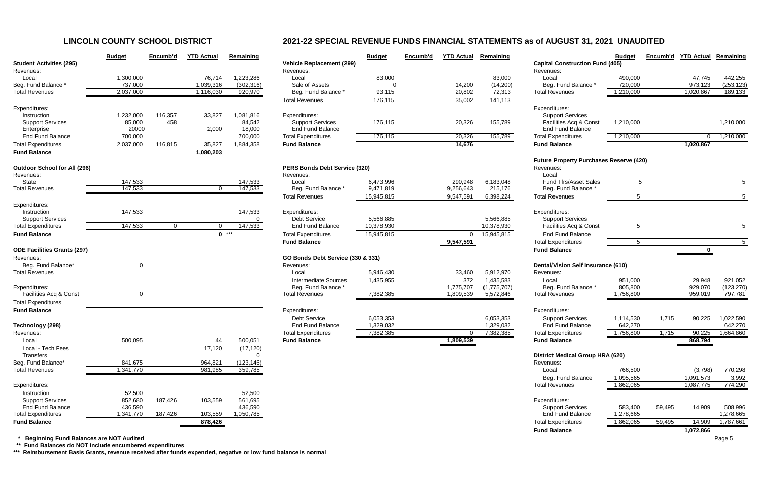# **LINCOLN COUNTY SCHOOL DISTRICT 2021-22 SPECIAL REVENUE FUNDS FINANCIAL STATEMENTS as of AUGUST 31, 2021 UNAUDITED**

|                                                | <b>Budget</b>        | Encumb'd       | <b>YTD Actual</b> | Remaining            |                                                  | <b>Budget</b> | Encumb'd | <b>YTD Actual</b> | Remaining   |                                                   | <b>Budget</b>          | Encumb'd | <b>YTD Actual</b>      | Remaining        |
|------------------------------------------------|----------------------|----------------|-------------------|----------------------|--------------------------------------------------|---------------|----------|-------------------|-------------|---------------------------------------------------|------------------------|----------|------------------------|------------------|
| <b>Student Activities (295)</b>                |                      |                |                   |                      | <b>Vehicle Replacement (299)</b>                 |               |          |                   |             | <b>Capital Construction Fund (405)</b>            |                        |          |                        |                  |
| Revenues:                                      |                      |                |                   |                      | Revenues:                                        |               |          |                   |             | Revenues:                                         |                        |          |                        |                  |
| Local                                          | 1,300,000            |                | 76,714            | 1,223,286            | Local                                            | 83,000        |          |                   | 83,000      | Local                                             | 490,000                |          | 47,745                 | 442,255          |
| Beg. Fund Balance *                            | 737,000              |                | 1,039,316         | (302, 316)           | Sale of Assets                                   |               |          | 14,200            | (14,200)    | Beg. Fund Balance                                 | 720,000                |          | 973,123                | (253, 123)       |
| <b>Total Revenues</b>                          | 2,037,000            |                | 1,116,030         | 920,970              | Beg. Fund Balance *                              | 93,115        |          | 20,802            | 72,313      | <b>Total Revenues</b>                             | 1,210,000              |          | 1,020,867              | 189,133          |
|                                                |                      |                |                   |                      | <b>Total Revenues</b>                            | 176,115       |          | 35,002            | 141,113     |                                                   |                        |          |                        |                  |
| Expenditures:                                  |                      |                |                   |                      |                                                  |               |          |                   |             | Expenditures:                                     |                        |          |                        |                  |
| Instruction<br><b>Support Services</b>         | 1,232,000            | 116,357<br>458 | 33,827            | 1,081,816            | Expenditures:                                    |               |          |                   |             | <b>Support Services</b><br>Facilities Acq & Const |                        |          |                        |                  |
|                                                | 85,000               |                |                   | 84,542               | <b>Support Services</b>                          | 176,115       |          | 20,326            | 155,789     |                                                   | 1,210,000              |          |                        | 1,210,000        |
| Enterprise<br><b>End Fund Balance</b>          | 20000                |                | 2,000             | 18,000               | <b>End Fund Balance</b>                          |               |          |                   |             | <b>End Fund Balance</b>                           |                        |          |                        |                  |
| <b>Total Expenditures</b>                      | 700,000<br>2,037,000 | 116,815        | 35,827            | 700,000<br>1,884,358 | <b>Total Expenditures</b><br><b>Fund Balance</b> | 176,115       |          | 20,326<br>14,676  | 155,789     | <b>Total Expenditures</b><br><b>Fund Balance</b>  | 1,210,000              |          | $\Omega$               | 1,210,000        |
| <b>Fund Balance</b>                            |                      |                | 1,080,203         |                      |                                                  |               |          |                   |             |                                                   |                        |          | 1,020,867              |                  |
|                                                |                      |                |                   |                      |                                                  |               |          |                   |             | <b>Future Property Purchases Reserve (420)</b>    |                        |          |                        |                  |
| <b>Outdoor School for All (296)</b>            |                      |                |                   |                      | <b>PERS Bonds Debt Service (320)</b>             |               |          |                   |             | Revenues:                                         |                        |          |                        |                  |
| Revenues:                                      |                      |                |                   |                      | Revenues:                                        |               |          |                   |             | Local                                             |                        |          |                        |                  |
| State                                          | 147,533              |                |                   | 147,533              | Local                                            | 6,473,996     |          | 290,948           | 6,183,048   | <b>Fund Tfrs/Asset Sales</b>                      | -5                     |          |                        |                  |
| <b>Total Revenues</b>                          | 147,533              |                |                   | 147,533              | Beg. Fund Balance                                | 9,471,819     |          | 9,256,643         | 215,176     | Beg. Fund Balance                                 |                        |          |                        |                  |
|                                                |                      |                |                   |                      | <b>Total Revenues</b>                            | 15,945,815    |          | 9,547,591         | 6,398,224   | <b>Total Revenues</b>                             | 5                      |          |                        |                  |
| Expenditures:                                  |                      |                |                   |                      |                                                  |               |          |                   |             |                                                   |                        |          |                        |                  |
| Instruction                                    | 147,533              |                |                   | 147,533              | Expenditures:                                    |               |          |                   |             | Expenditures:                                     |                        |          |                        |                  |
| <b>Support Services</b>                        |                      |                |                   | $\Omega$             | <b>Debt Service</b>                              | 5,566,885     |          |                   | 5,566,885   | <b>Support Services</b>                           |                        |          |                        |                  |
| <b>Total Expenditures</b>                      | 147,533              | $\mathbf{0}$   |                   | 147,533              | <b>End Fund Balance</b>                          | 10,378,930    |          |                   | 10,378,930  | Facilities Acq & Const                            | 5                      |          |                        |                  |
| <b>Fund Balance</b>                            |                      |                |                   | $0$ ***              | <b>Total Expenditures</b>                        | 15,945,815    |          | $\mathbf{0}$      | 15,945,815  | <b>End Fund Balance</b>                           |                        |          |                        |                  |
|                                                |                      |                |                   |                      | <b>Fund Balance</b>                              |               |          | 9,547,591         |             | <b>Total Expenditures</b>                         | 5                      |          |                        |                  |
| <b>ODE Facilities Grants (297)</b>             |                      |                |                   |                      |                                                  |               |          |                   |             | <b>Fund Balance</b>                               |                        |          |                        |                  |
| Revenues:                                      |                      |                |                   |                      | GO Bonds Debt Service (330 & 331)                |               |          |                   |             |                                                   |                        |          |                        |                  |
| Beg. Fund Balance <sup>®</sup>                 |                      |                |                   |                      | Revenues:                                        |               |          |                   |             | <b>Dental/Vision Self Insurance (610)</b>         |                        |          |                        |                  |
| <b>Total Revenues</b>                          |                      |                |                   |                      | Local                                            | 5,946,430     |          | 33,460            | 5,912,970   | Revenues:                                         |                        |          |                        |                  |
|                                                |                      |                |                   |                      | Intermediate Sources                             | 1,435,955     |          | 372               | 1,435,583   | Local                                             | 951,000                |          | 29,948                 | 921,052          |
| Expenditures:                                  |                      |                |                   |                      | Beg. Fund Balance                                |               |          | 1,775,707         | (1,775,707) | Beg. Fund Balance                                 | 805,800                |          | 929,070                | (123, 270)       |
| Facilities Acq & Const                         |                      |                |                   |                      | <b>Total Revenues</b>                            | 7,382,385     |          | 1,809,539         | 5,572,846   | <b>Total Revenues</b>                             | 1,756,800              |          | 959,019                | 797,781          |
| <b>Total Expenditures</b>                      |                      |                |                   |                      |                                                  |               |          |                   |             |                                                   |                        |          |                        |                  |
| <b>Fund Balance</b>                            |                      |                |                   |                      | Expenditures:                                    |               |          |                   |             | Expenditures:                                     |                        |          |                        |                  |
|                                                |                      |                |                   |                      | <b>Debt Service</b>                              | 6,053,353     |          |                   | 6,053,353   | <b>Support Services</b>                           | 1,114,530              | 1,715    | 90,225                 | 1,022,590        |
| Technology (298)                               |                      |                |                   |                      | <b>End Fund Balance</b>                          | 1,329,032     |          |                   | 1,329,032   | <b>End Fund Balance</b>                           | 642,270                |          |                        | 642,270          |
| Revenues:                                      |                      |                |                   |                      | <b>Total Expenditures</b>                        | 7,382,385     |          | 0                 | 7,382,385   | <b>Total Expenditures</b>                         | 1,756,800              | 1,715    | 90,225                 | 1,664,860        |
| Local                                          | 500,095              |                | -44               | 500,051              | <b>Fund Balance</b>                              |               |          | 1,809,539         |             | <b>Fund Balance</b>                               |                        |          | 868,794                |                  |
| Local - Tech Fees                              |                      |                | 17,120            | (17, 120)            |                                                  |               |          |                   |             |                                                   |                        |          |                        |                  |
| Transfers                                      |                      |                |                   | ∩                    |                                                  |               |          |                   |             | <b>District Medical Group HRA (620)</b>           |                        |          |                        |                  |
| Beg. Fund Balance*                             | 841,675              |                | 964,821           | (123, 146)           |                                                  |               |          |                   |             | Revenues:                                         |                        |          |                        |                  |
| <b>Total Revenues</b>                          | 1,341,770            |                | 981,985           | 359,785              |                                                  |               |          |                   |             | Local                                             | 766,500                |          | (3,798)                | 770,298          |
| Expenditures:                                  |                      |                |                   |                      |                                                  |               |          |                   |             | Beg. Fund Balance<br><b>Total Revenues</b>        | 1,095,565<br>1,862,065 |          | 1,091,573<br>1,087,775 | 3,992<br>774,290 |
| Instruction                                    | 52,500               |                |                   | 52,500               |                                                  |               |          |                   |             |                                                   |                        |          |                        |                  |
| <b>Support Services</b>                        | 852,680              | 187,426        | 103,559           | 561,695              |                                                  |               |          |                   |             | Expenditures:                                     |                        |          |                        |                  |
| <b>End Fund Balance</b>                        | 436,590              |                |                   | 436,590              |                                                  |               |          |                   |             | <b>Support Services</b>                           | 583,400                | 59,495   | 14,909                 | 508,996          |
| <b>Total Expenditures</b>                      | 1,341,770            | 187,426        | 103,559           | 1,050,785            |                                                  |               |          |                   |             | <b>End Fund Balance</b>                           | 1,278,665              |          |                        | 1,278,665        |
| <b>Fund Balance</b>                            |                      |                | 878,426           |                      |                                                  |               |          |                   |             | <b>Total Expenditures</b>                         | 1,862,065              | 59,495   | 14,909                 | 1,787,661        |
|                                                |                      |                |                   |                      |                                                  |               |          |                   |             | <b>Fund Balance</b>                               |                        |          | 1,072,866              |                  |
| <b>Beginning Fund Balances are NOT Audited</b> |                      |                |                   |                      |                                                  |               |          |                   |             |                                                   |                        |          |                        | Page 5           |
|                                                |                      |                |                   |                      |                                                  |               |          |                   |             |                                                   |                        |          |                        |                  |

|                                     | <b>Budget</b> | Encumb'd | <b>YTD Actual</b> | Remaining  |                                   | <b>Bud</b> |
|-------------------------------------|---------------|----------|-------------------|------------|-----------------------------------|------------|
| <b>Student Activities (295)</b>     |               |          |                   |            | <b>Vehicle Replacement (299)</b>  |            |
| Revenues:                           |               |          |                   |            | Revenues:                         |            |
| Local                               | 1,300,000     |          | 76,714            | 1,223,286  | Local                             | 8          |
| Beg. Fund Balance *                 | 737,000       |          | 1,039,316         | (302, 316) | Sale of Assets                    |            |
| <b>Total Revenues</b>               | 2,037,000     |          | 1,116,030         | 920,970    | Beg. Fund Balance *               | 9          |
|                                     |               |          |                   |            | <b>Total Revenues</b>             | 17         |
| Expenditures:                       |               |          |                   |            |                                   |            |
| Instruction                         | 1,232,000     | 116,357  | 33,827            | 1,081,816  | Expenditures:                     |            |
| <b>Support Services</b>             | 85,000        | 458      |                   | 84,542     | <b>Support Services</b>           | 17         |
| Enterprise                          | 20000         |          | 2,000             | 18,000     | <b>End Fund Balance</b>           |            |
| <b>End Fund Balance</b>             | 700,000       |          |                   | 700,000    | <b>Total Expenditures</b>         | 17         |
| <b>Total Expenditures</b>           | 2,037,000     | 116,815  | 35,827            | 1,884,358  | <b>Fund Balance</b>               |            |
| <b>Fund Balance</b>                 |               |          | 1,080,203         |            |                                   |            |
|                                     |               |          |                   |            |                                   |            |
| <b>Outdoor School for All (296)</b> |               |          |                   |            | PERS Bonds Debt Service (320)     |            |
| Revenues:                           |               |          |                   |            | Revenues:                         |            |
| <b>State</b>                        | 147,533       |          |                   | 147,533    | Local                             | 6,47       |
| <b>Total Revenues</b>               | 147,533       |          | $\mathbf 0$       | 147,533    | Beg. Fund Balance *               | 9,47       |
|                                     |               |          |                   |            | <b>Total Revenues</b>             | 15,94      |
| Expenditures:                       |               |          |                   |            |                                   |            |
| Instruction                         | 147,533       |          |                   | 147,533    | Expenditures:                     |            |
| <b>Support Services</b>             |               |          |                   | 0          | <b>Debt Service</b>               | 5,56       |
| <b>Total Expenditures</b>           | 147,533       | 0        | 0                 | 147,533    | <b>End Fund Balance</b>           | 10,37      |
| <b>Fund Balance</b>                 |               |          | $\mathbf{0}$      | $***$      |                                   | 15,94      |
|                                     |               |          |                   |            | <b>Total Expenditures</b>         |            |
|                                     |               |          |                   |            | <b>Fund Balance</b>               |            |
| <b>ODE Facilities Grants (297)</b>  |               |          |                   |            |                                   |            |
| Revenues:                           |               |          |                   |            | GO Bonds Debt Service (330 & 331) |            |
| Beg. Fund Balance*                  | 0             |          |                   |            | Revenues:                         |            |
| <b>Total Revenues</b>               |               |          |                   |            | Local                             | 5,94       |
|                                     |               |          |                   |            | <b>Intermediate Sources</b>       | 1,43       |
| Expenditures:                       |               |          |                   |            | Beg. Fund Balance *               |            |
| Facilities Acq & Const              | 0             |          |                   |            | <b>Total Revenues</b>             | 7,38       |
| <b>Total Expenditures</b>           |               |          |                   |            |                                   |            |
| <b>Fund Balance</b>                 |               |          |                   |            | Expenditures:                     |            |
|                                     |               |          |                   |            | <b>Debt Service</b>               | 6,05       |
| Technology (298)                    |               |          |                   |            | <b>End Fund Balance</b>           | 1,32       |
| Revenues:                           |               |          |                   |            | <b>Total Expenditures</b>         | 7,38       |
| Local                               | 500,095       |          | 44                | 500,051    | <b>Fund Balance</b>               |            |
| Local - Tech Fees                   |               |          | 17,120            | (17, 120)  |                                   |            |
| <b>Transfers</b>                    |               |          |                   | 0          |                                   |            |
| Beg. Fund Balance*                  | 841,675       |          | 964,821           | (123, 146) |                                   |            |
| <b>Total Revenues</b>               | 1,341,770     |          | 981,985           | 359,785    |                                   |            |
|                                     |               |          |                   |            |                                   |            |
| Expenditures:                       |               |          |                   |            |                                   |            |
| Instruction                         | 52,500        |          |                   | 52,500     |                                   |            |
| <b>Support Services</b>             | 852,680       | 187,426  | 103,559           | 561,695    |                                   |            |
| <b>End Fund Balance</b>             | 436,590       |          |                   | 436,590    |                                   |            |
| <b>Total Expenditures</b>           | 1,341,770     | 187,426  | 103,559           | 1,050,785  |                                   |            |
| <b>Fund Balance</b>                 |               |          | 878,426           |            |                                   |            |
|                                     |               |          |                   |            |                                   |            |

 **\*\* Fund Balances do NOT include encumbered expenditures**

**\*\*\* Reimbursement Basis Grants, revenue received after funds expended, negative or low fund balance is normal**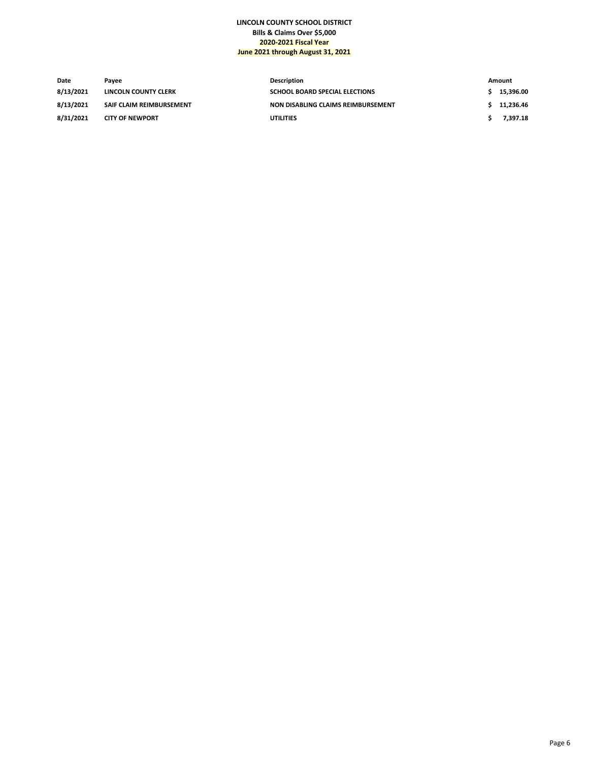## **LINCOLN COUNTY SCHOOL DISTRICT Bills & Claims Over \$5,000 2020-2021 Fiscal Year June 2021 through August 31, 2021**

| Date      | Pavee                           | Description                           | Amount    |
|-----------|---------------------------------|---------------------------------------|-----------|
| 8/13/2021 | LINCOLN COUNTY CLERK            | <b>SCHOOL BOARD SPECIAL ELECTIONS</b> | 15.396.00 |
| 8/13/2021 | <b>SAIF CLAIM REIMBURSEMENT</b> | NON DISABLING CLAIMS REIMBURSEMENT    | 11.236.46 |
| 8/31/2021 | <b>CITY OF NEWPORT</b>          | <b>UTILITIES</b>                      | 7.397.18  |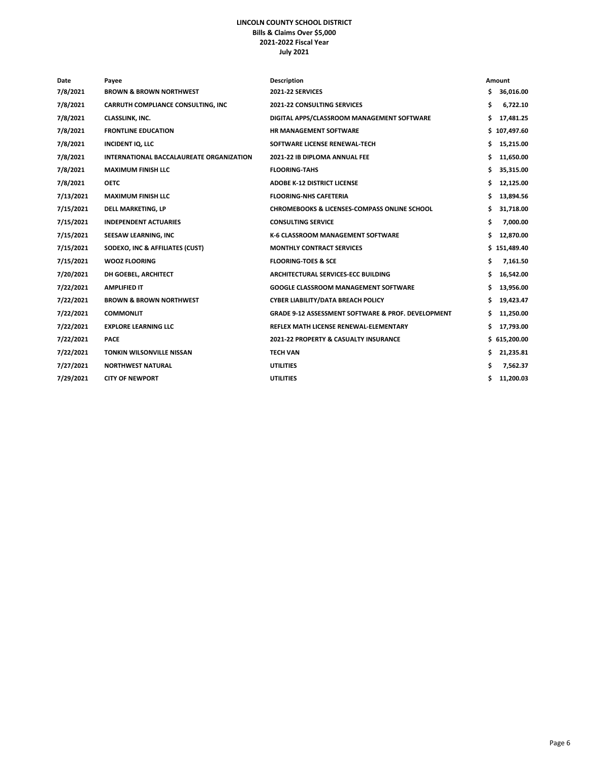## **LINCOLN COUNTY SCHOOL DISTRICT Bills & Claims Over \$5,000 2021-2022 Fiscal Year July 2021**

| Date      | Payee                                           | <b>Description</b>                                            |    | Amount       |
|-----------|-------------------------------------------------|---------------------------------------------------------------|----|--------------|
| 7/8/2021  | <b>BROWN &amp; BROWN NORTHWEST</b>              | <b>2021-22 SERVICES</b>                                       | Ś. | 36,016.00    |
| 7/8/2021  | CARRUTH COMPLIANCE CONSULTING, INC              | <b>2021-22 CONSULTING SERVICES</b>                            | \$ | 6,722.10     |
| 7/8/2021  | CLASSLINK, INC.                                 | DIGITAL APPS/CLASSROOM MANAGEMENT SOFTWARE                    | \$ | 17,481.25    |
| 7/8/2021  | <b>FRONTLINE EDUCATION</b>                      | <b>HR MANAGEMENT SOFTWARE</b>                                 |    | \$107,497.60 |
| 7/8/2021  | <b>INCIDENT IQ, LLC</b>                         | SOFTWARE LICENSE RENEWAL-TECH                                 | \$ | 15,215.00    |
| 7/8/2021  | <b>INTERNATIONAL BACCALAUREATE ORGANIZATION</b> | 2021-22 IB DIPLOMA ANNUAL FEE                                 | \$ | 11,650.00    |
| 7/8/2021  | <b>MAXIMUM FINISH LLC</b>                       | <b>FLOORING-TAHS</b>                                          | \$ | 35,315.00    |
| 7/8/2021  | <b>OETC</b>                                     | <b>ADOBE K-12 DISTRICT LICENSE</b>                            | \$ | 12,125.00    |
| 7/13/2021 | <b>MAXIMUM FINISH LLC</b>                       | <b>FLOORING-NHS CAFETERIA</b>                                 | \$ | 13,894.56    |
| 7/15/2021 | <b>DELL MARKETING, LP</b>                       | CHROMEBOOKS & LICENSES-COMPASS ONLINE SCHOOL                  | \$ | 31,718.00    |
| 7/15/2021 | <b>INDEPENDENT ACTUARIES</b>                    | <b>CONSULTING SERVICE</b>                                     | \$ | 7,000.00     |
| 7/15/2021 | SEESAW LEARNING, INC                            | K-6 CLASSROOM MANAGEMENT SOFTWARE                             | \$ | 12,870.00    |
| 7/15/2021 | SODEXO, INC & AFFILIATES (CUST)                 | <b>MONTHLY CONTRACT SERVICES</b>                              |    | \$151,489.40 |
| 7/15/2021 | <b>WOOZ FLOORING</b>                            | <b>FLOORING-TOES &amp; SCE</b>                                | \$ | 7,161.50     |
| 7/20/2021 | DH GOEBEL, ARCHITECT                            | ARCHITECTURAL SERVICES-ECC BUILDING                           | \$ | 16,542.00    |
| 7/22/2021 | <b>AMPLIFIED IT</b>                             | <b>GOOGLE CLASSROOM MANAGEMENT SOFTWARE</b>                   | Ś. | 13,956.00    |
| 7/22/2021 | <b>BROWN &amp; BROWN NORTHWEST</b>              | CYBER LIABILITY/DATA BREACH POLICY                            | \$ | 19,423.47    |
| 7/22/2021 | <b>COMMONLIT</b>                                | <b>GRADE 9-12 ASSESSMENT SOFTWARE &amp; PROF. DEVELOPMENT</b> | Ś. | 11,250.00    |
| 7/22/2021 | <b>EXPLORE LEARNING LLC</b>                     | REFLEX MATH LICENSE RENEWAL-ELEMENTARY                        | \$ | 17,793.00    |
| 7/22/2021 | <b>PACE</b>                                     | 2021-22 PROPERTY & CASUALTY INSURANCE                         |    | \$615,200.00 |
| 7/22/2021 | <b>TONKIN WILSONVILLE NISSAN</b>                | <b>TECH VAN</b>                                               | \$ | 21,235.81    |
| 7/27/2021 | <b>NORTHWEST NATURAL</b>                        | <b>UTILITIES</b>                                              | \$ | 7,562.37     |
| 7/29/2021 | <b>CITY OF NEWPORT</b>                          | <b>UTILITIES</b>                                              | \$ | 11,200.03    |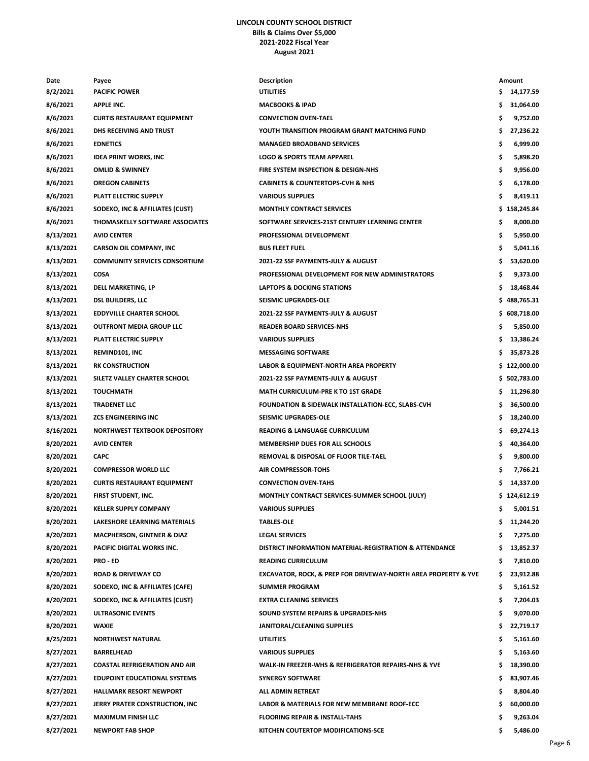## **LINCOLN COUNTY SCHOOL DISTRICT Bills & Claims Over \$5,000 2021-2022 Fiscal Year August 2021**

| Date      | Payee                                 | <b>Description</b>                                             |     | Amount       |
|-----------|---------------------------------------|----------------------------------------------------------------|-----|--------------|
| 8/2/2021  | <b>PACIFIC POWER</b>                  | <b>UTILITIES</b>                                               | \$  | 14,177.59    |
| 8/6/2021  | <b>APPLE INC.</b>                     | <b>MACBOOKS &amp; IPAD</b>                                     | s   | 31,064.00    |
| 8/6/2021  | <b>CURTIS RESTAURANT EQUIPMENT</b>    | <b>CONVECTION OVEN-TAEL</b>                                    | \$  | 9,752.00     |
| 8/6/2021  | DHS RECEIVING AND TRUST               | YOUTH TRANSITION PROGRAM GRANT MATCHING FUND                   | \$  | 27,236.22    |
| 8/6/2021  | <b>EDNETICS</b>                       | <b>MANAGED BROADBAND SERVICES</b>                              | \$  | 6,999.00     |
| 8/6/2021  | <b>IDEA PRINT WORKS, INC</b>          | <b>LOGO &amp; SPORTS TEAM APPAREL</b>                          | \$  | 5,898.20     |
| 8/6/2021  | <b>OMLID &amp; SWINNEY</b>            | FIRE SYSTEM INSPECTION & DESIGN-NHS                            | \$  | 9,956.00     |
| 8/6/2021  | <b>OREGON CABINETS</b>                | <b>CABINETS &amp; COUNTERTOPS-CVH &amp; NHS</b>                | \$  | 6,178.00     |
| 8/6/2021  | PLATT ELECTRIC SUPPLY                 | <b>VARIOUS SUPPLIES</b>                                        | \$  | 8,419.11     |
| 8/6/2021  | SODEXO, INC & AFFILIATES (CUST)       | <b>MONTHLY CONTRACT SERVICES</b>                               |     | \$158,245.84 |
| 8/6/2021  | THOMASKELLY SOFTWARE ASSOCIATES       | SOFTWARE SERVICES-21ST CENTURY LEARNING CENTER                 | \$  | 8,000.00     |
| 8/13/2021 | <b>AVID CENTER</b>                    | PROFESSIONAL DEVELOPMENT                                       | \$  | 5,950.00     |
| 8/13/2021 | <b>CARSON OIL COMPANY, INC</b>        | <b>BUS FLEET FUEL</b>                                          | \$  | 5,041.16     |
| 8/13/2021 | <b>COMMUNITY SERVICES CONSORTIUM</b>  | 2021-22 SSF PAYMENTS-JULY & AUGUST                             | \$  | 53,620.00    |
| 8/13/2021 | COSA                                  | PROFESSIONAL DEVELOPMENT FOR NEW ADMINISTRATORS                | \$  | 9,373.00     |
| 8/13/2021 | DELL MARKETING, LP                    | <b>LAPTOPS &amp; DOCKING STATIONS</b>                          | \$  | 18,468.44    |
| 8/13/2021 | <b>DSL BUILDERS, LLC</b>              | SEISMIC UPGRADES-OLE                                           |     | \$488,765.31 |
| 8/13/2021 | <b>EDDYVILLE CHARTER SCHOOL</b>       | 2021-22 SSF PAYMENTS-JULY & AUGUST                             |     | \$608,718.00 |
| 8/13/2021 | <b>OUTFRONT MEDIA GROUP LLC</b>       | <b>READER BOARD SERVICES-NHS</b>                               | \$  | 5,850.00     |
| 8/13/2021 | PLATT ELECTRIC SUPPLY                 | <b>VARIOUS SUPPLIES</b>                                        | \$  | 13,386.24    |
| 8/13/2021 | REMIND101, INC                        | <b>MESSAGING SOFTWARE</b>                                      | s   | 35,873.28    |
| 8/13/2021 | <b>RK CONSTRUCTION</b>                | LABOR & EQUIPMENT-NORTH AREA PROPERTY                          |     | \$122,000.00 |
| 8/13/2021 | SILETZ VALLEY CHARTER SCHOOL          | 2021-22 SSF PAYMENTS-JULY & AUGUST                             |     | \$502,783.00 |
| 8/13/2021 | <b>TOUCHMATH</b>                      | <b>MATH CURRICULUM-PRE K TO 1ST GRADE</b>                      | s   | 11,296.80    |
| 8/13/2021 | TRADENET LLC                          | FOUNDATION & SIDEWALK INSTALLATION-ECC, SLABS-CVH              | \$  | 36,500.00    |
| 8/13/2021 | <b>ZCS ENGINEERING INC</b>            | SEISMIC UPGRADES-OLE                                           | \$  | 18,240.00    |
| 8/16/2021 | NORTHWEST TEXTBOOK DEPOSITORY         | <b>READING &amp; LANGUAGE CURRICULUM</b>                       | \$  | 69,274.13    |
| 8/20/2021 | <b>AVID CENTER</b>                    | MEMBERSHIP DUES FOR ALL SCHOOLS                                | \$  | 40,364.00    |
| 8/20/2021 | <b>CAPC</b>                           | REMOVAL & DISPOSAL OF FLOOR TILE-TAEL                          | \$. | 9,800.00     |
| 8/20/2021 | <b>COMPRESSOR WORLD LLC</b>           | <b>AIR COMPRESSOR-TOHS</b>                                     | \$  | 7,766.21     |
| 8/20/2021 | <b>CURTIS RESTAURANT EQUIPMENT</b>    | <b>CONVECTION OVEN-TAHS</b>                                    | s   | 14,337.00    |
| 8/20/2021 | FIRST STUDENT, INC.                   | MONTHLY CONTRACT SERVICES-SUMMER SCHOOL (JULY)                 |     | \$124,612.19 |
| 8/20/2021 | <b>KELLER SUPPLY COMPANY</b>          | <b>VARIOUS SUPPLIES</b>                                        | \$  | 5,001.51     |
| 8/20/2021 | LAKESHORE LEARNING MATERIALS          | <b>TABLES-OLE</b>                                              | \$  | 11,244.20    |
| 8/20/2021 | <b>MACPHERSON, GINTNER &amp; DIAZ</b> | <b>LEGAL SERVICES</b>                                          | s   | 7,275.00     |
| 8/20/2021 | PACIFIC DIGITAL WORKS INC.            | DISTRICT INFORMATION MATERIAL-REGISTRATION & ATTENDANCE        | s   | 13,852.37    |
| 8/20/2021 | <b>PRO - ED</b>                       | <b>READING CURRICULUM</b>                                      | \$  | 7,810.00     |
| 8/20/2021 | <b>ROAD &amp; DRIVEWAY CO</b>         | EXCAVATOR, ROCK, & PREP FOR DRIVEWAY-NORTH AREA PROPERTY & YVE | \$  | 23,912.88    |
| 8/20/2021 | SODEXO, INC & AFFILIATES (CAFE)       | <b>SUMMER PROGRAM</b>                                          | \$  | 5,161.52     |
| 8/20/2021 | SODEXO, INC & AFFILIATES (CUST)       | <b>EXTRA CLEANING SERVICES</b>                                 | \$  | 7,204.03     |
| 8/20/2021 | ULTRASONIC EVENTS                     | SOUND SYSTEM REPAIRS & UPGRADES-NHS                            | \$  | 9,070.00     |
| 8/20/2021 | <b>WAXIE</b>                          | JANITORAL/CLEANING SUPPLIES                                    | \$  | 22,719.17    |
| 8/25/2021 | <b>NORTHWEST NATURAL</b>              | <b>UTILITIES</b>                                               | \$  | 5,161.60     |
| 8/27/2021 | <b>BARRELHEAD</b>                     | <b>VARIOUS SUPPLIES</b>                                        | s   | 5,163.60     |
| 8/27/2021 | <b>COASTAL REFRIGERATION AND AIR</b>  | WALK-IN FREEZER-WHS & REFRIGERATOR REPAIRS-NHS & YVE           | \$  | 18,390.00    |
| 8/27/2021 | <b>EDUPOINT EDUCATIONAL SYSTEMS</b>   | <b>SYNERGY SOFTWARE</b>                                        | \$. | 83,907.46    |
| 8/27/2021 | <b>HALLMARK RESORT NEWPORT</b>        | ALL ADMIN RETREAT                                              | \$  | 8,804.40     |
| 8/27/2021 | JERRY PRATER CONSTRUCTION, INC        | LABOR & MATERIALS FOR NEW MEMBRANE ROOF-ECC                    | \$  | 60,000.00    |
| 8/27/2021 | <b>MAXIMUM FINISH LLC</b>             | <b>FLOORING REPAIR &amp; INSTALL-TAHS</b>                      | \$  | 9,263.04     |
| 8/27/2021 | <b>NEWPORT FAB SHOP</b>               | KITCHEN COUTERTOP MODIFICATIONS-SCE                            | \$. | 5,486.00     |
|           |                                       |                                                                |     |              |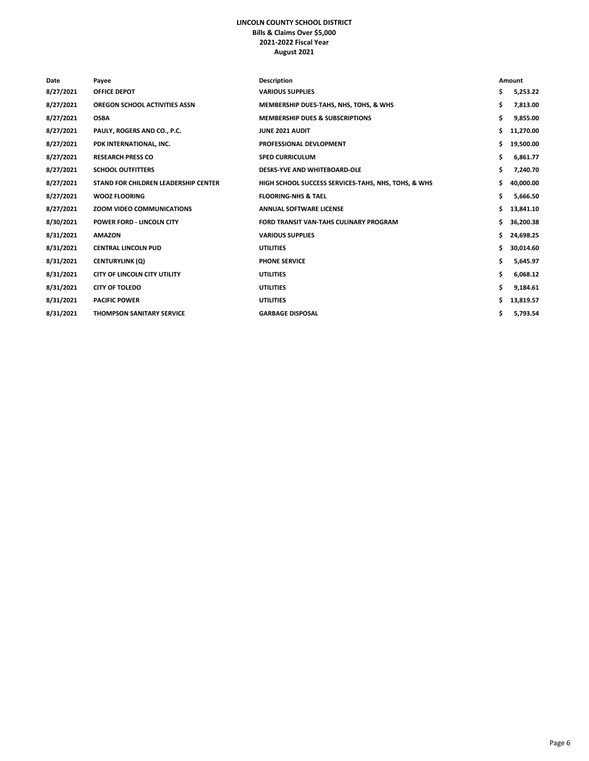## **LINCOLN COUNTY SCHOOL DISTRICT Bills & Claims Over \$5,000 2021-2022 Fiscal Year August 2021**

| Date      | Payee                                | <b>Description</b>                                  |     | Amount    |
|-----------|--------------------------------------|-----------------------------------------------------|-----|-----------|
| 8/27/2021 | <b>OFFICE DEPOT</b>                  | <b>VARIOUS SUPPLIES</b>                             | \$  | 5,253.22  |
| 8/27/2021 | <b>OREGON SCHOOL ACTIVITIES ASSN</b> | MEMBERSHIP DUES-TAHS, NHS, TOHS, & WHS              | \$  | 7,813.00  |
| 8/27/2021 | <b>OSBA</b>                          | <b>MEMBERSHIP DUES &amp; SUBSCRIPTIONS</b>          | \$  | 9,855.00  |
| 8/27/2021 | PAULY, ROGERS AND CO., P.C.          | JUNE 2021 AUDIT                                     | \$  | 11,270.00 |
| 8/27/2021 | PDK INTERNATIONAL, INC.              | PROFESSIONAL DEVLOPMENT                             | \$  | 19,500.00 |
| 8/27/2021 | <b>RESEARCH PRESS CO</b>             | <b>SPED CURRICULUM</b>                              | \$  | 6,861.77  |
| 8/27/2021 | <b>SCHOOL OUTFITTERS</b>             | DESKS-YVE AND WHITEBOARD-OLE                        | \$  | 7,240.70  |
| 8/27/2021 | STAND FOR CHILDREN LEADERSHIP CENTER | HIGH SCHOOL SUCCESS SERVICES-TAHS, NHS, TOHS, & WHS | \$  | 40,000.00 |
| 8/27/2021 | <b>WOOZ FLOORING</b>                 | <b>FLOORING-NHS &amp; TAEL</b>                      | \$  | 5,666.50  |
| 8/27/2021 | <b>ZOOM VIDEO COMMUNICATIONS</b>     | <b>ANNUAL SOFTWARE LICENSE</b>                      | \$  | 13,841.10 |
| 8/30/2021 | <b>POWER FORD - LINCOLN CITY</b>     | FORD TRANSIT VAN-TAHS CULINARY PROGRAM              | \$  | 36,200.38 |
| 8/31/2021 | <b>AMAZON</b>                        | <b>VARIOUS SUPPLIES</b>                             | \$. | 24,698.25 |
| 8/31/2021 | <b>CENTRAL LINCOLN PUD</b>           | <b>UTILITIES</b>                                    | \$  | 30,014.60 |
| 8/31/2021 | <b>CENTURYLINK (Q)</b>               | <b>PHONE SERVICE</b>                                | \$  | 5,645.97  |
| 8/31/2021 | <b>CITY OF LINCOLN CITY UTILITY</b>  | <b>UTILITIES</b>                                    | \$  | 6,068.12  |
| 8/31/2021 | <b>CITY OF TOLEDO</b>                | <b>UTILITIES</b>                                    | \$  | 9,184.61  |
| 8/31/2021 | <b>PACIFIC POWER</b>                 | <b>UTILITIES</b>                                    | Ś   | 13,819.57 |
| 8/31/2021 | <b>THOMPSON SANITARY SERVICE</b>     | <b>GARBAGE DISPOSAL</b>                             | \$  | 5,793.54  |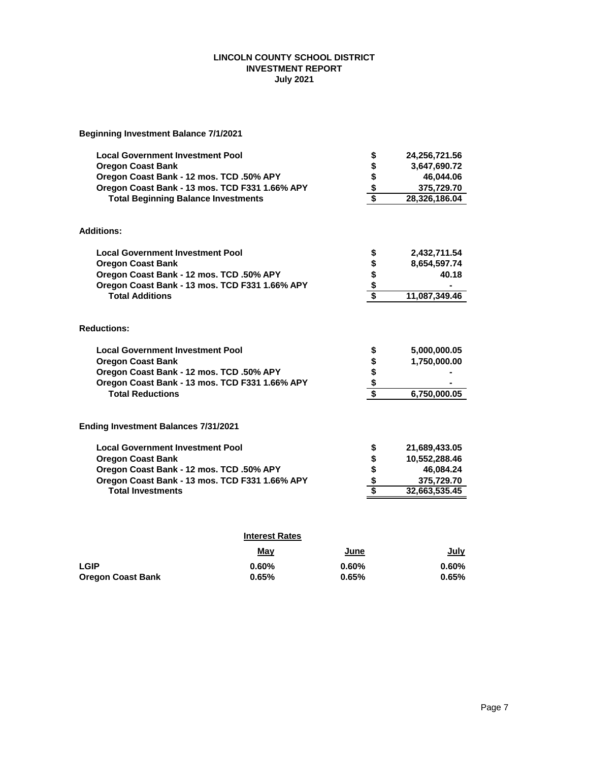## **LINCOLN COUNTY SCHOOL DISTRICT INVESTMENT REPORT July 2021**

**Beginning Investment Balance 7/1/2021**

| <b>Local Government Investment Pool</b>                       |                       | \$                    | 24,256,721.56                |
|---------------------------------------------------------------|-----------------------|-----------------------|------------------------------|
| <b>Oregon Coast Bank</b>                                      |                       |                       | 3,647,690.72                 |
| Oregon Coast Bank - 12 mos. TCD .50% APY                      |                       |                       | 46,044.06                    |
| Oregon Coast Bank - 13 mos. TCD F331 1.66% APY                |                       | ५<br>१<br>१<br>१<br>१ | 375,729.70                   |
| <b>Total Beginning Balance Investments</b>                    |                       |                       | 28,326,186.04                |
| <b>Additions:</b>                                             |                       |                       |                              |
| <b>Local Government Investment Pool</b>                       |                       | \$                    | 2,432,711.54                 |
| <b>Oregon Coast Bank</b>                                      |                       |                       | 8,654,597.74                 |
| Oregon Coast Bank - 12 mos. TCD .50% APY                      |                       |                       | 40.18                        |
| Oregon Coast Bank - 13 mos. TCD F331 1.66% APY                |                       |                       |                              |
| <b>Total Additions</b>                                        |                       | $\frac{6}{5}$         | 11,087,349.46                |
| <b>Reductions:</b><br><b>Local Government Investment Pool</b> |                       |                       |                              |
| <b>Oregon Coast Bank</b>                                      |                       | \$                    | 5,000,000.05<br>1,750,000.00 |
| Oregon Coast Bank - 12 mos. TCD .50% APY                      |                       | s<br>\$<br>\$         |                              |
| Oregon Coast Bank - 13 mos. TCD F331 1.66% APY                |                       |                       |                              |
| <b>Total Reductions</b>                                       |                       |                       | 6,750,000.05                 |
|                                                               |                       |                       |                              |
| Ending Investment Balances 7/31/2021                          |                       |                       |                              |
| <b>Local Government Investment Pool</b>                       |                       | \$                    | 21,689,433.05                |
| <b>Oregon Coast Bank</b>                                      |                       | $\frac{1}{2}$         | 10,552,288.46                |
| Oregon Coast Bank - 12 mos. TCD .50% APY                      |                       |                       | 46,084.24                    |
| Oregon Coast Bank - 13 mos. TCD F331 1.66% APY                |                       |                       | 375,729.70                   |
| <b>Total Investments</b>                                      |                       |                       | 32,663,535.45                |
|                                                               |                       |                       |                              |
|                                                               | <b>Interest Rates</b> |                       |                              |
|                                                               | May                   | June                  | July                         |

**LGIP 0.60% 0.60% 0.60% Oregon Coast Bank 0.65% 0.65% 0.65%**